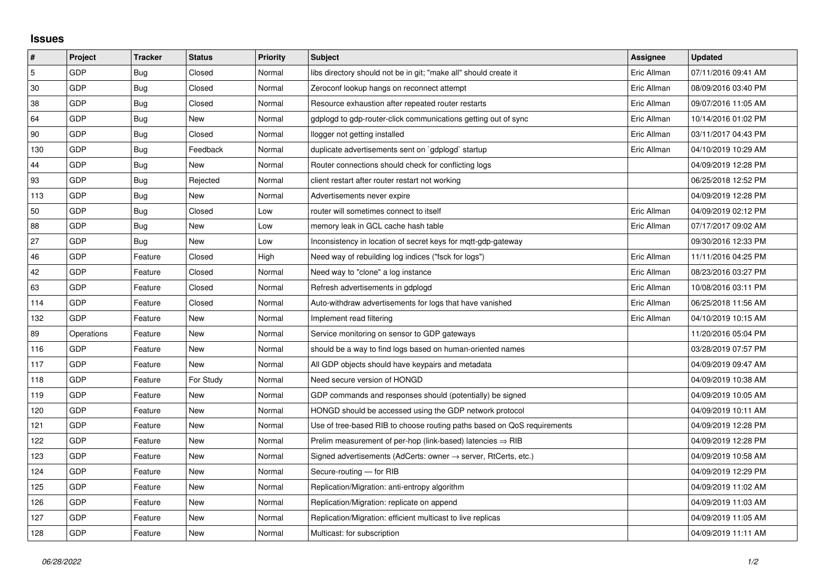## **Issues**

| $\vert$ # | Project    | <b>Tracker</b> | <b>Status</b> | <b>Priority</b> | <b>Subject</b>                                                          | <b>Assignee</b> | <b>Updated</b>      |
|-----------|------------|----------------|---------------|-----------------|-------------------------------------------------------------------------|-----------------|---------------------|
| 5         | GDP        | Bug            | Closed        | Normal          | libs directory should not be in git; "make all" should create it        | Eric Allman     | 07/11/2016 09:41 AM |
| 30        | GDP        | Bug            | Closed        | Normal          | Zeroconf lookup hangs on reconnect attempt                              | Eric Allman     | 08/09/2016 03:40 PM |
| 38        | GDP        | Bug            | Closed        | Normal          | Resource exhaustion after repeated router restarts                      | Eric Allman     | 09/07/2016 11:05 AM |
| 64        | GDP        | Bug            | <b>New</b>    | Normal          | gdplogd to gdp-router-click communications getting out of sync          | Eric Allman     | 10/14/2016 01:02 PM |
| 90        | GDP        | Bug            | Closed        | Normal          | llogger not getting installed                                           | Eric Allman     | 03/11/2017 04:43 PM |
| 130       | GDP        | <b>Bug</b>     | Feedback      | Normal          | duplicate advertisements sent on `gdplogd` startup                      | Eric Allman     | 04/10/2019 10:29 AM |
| 44        | GDP        | Bug            | New           | Normal          | Router connections should check for conflicting logs                    |                 | 04/09/2019 12:28 PM |
| 93        | GDP        | Bug            | Rejected      | Normal          | client restart after router restart not working                         |                 | 06/25/2018 12:52 PM |
| 113       | GDP        | Bug            | New           | Normal          | Advertisements never expire                                             |                 | 04/09/2019 12:28 PM |
| 50        | GDP        | Bug            | Closed        | Low             | router will sometimes connect to itself                                 | Eric Allman     | 04/09/2019 02:12 PM |
| 88        | GDP        | Bug            | New           | Low             | memory leak in GCL cache hash table                                     | Eric Allman     | 07/17/2017 09:02 AM |
| 27        | GDP        | <b>Bug</b>     | New           | Low             | Inconsistency in location of secret keys for mqtt-gdp-gateway           |                 | 09/30/2016 12:33 PM |
| 46        | GDP        | Feature        | Closed        | High            | Need way of rebuilding log indices ("fsck for logs")                    | Eric Allman     | 11/11/2016 04:25 PM |
| 42        | GDP        | Feature        | Closed        | Normal          | Need way to "clone" a log instance                                      | Eric Allman     | 08/23/2016 03:27 PM |
| 63        | GDP        | Feature        | Closed        | Normal          | Refresh advertisements in gdplogd                                       | Eric Allman     | 10/08/2016 03:11 PM |
| 114       | GDP        | Feature        | Closed        | Normal          | Auto-withdraw advertisements for logs that have vanished                | Eric Allman     | 06/25/2018 11:56 AM |
| 132       | GDP        | Feature        | New           | Normal          | Implement read filtering                                                | Eric Allman     | 04/10/2019 10:15 AM |
| 89        | Operations | Feature        | New           | Normal          | Service monitoring on sensor to GDP gateways                            |                 | 11/20/2016 05:04 PM |
| 116       | GDP        | Feature        | New           | Normal          | should be a way to find logs based on human-oriented names              |                 | 03/28/2019 07:57 PM |
| 117       | GDP        | Feature        | New           | Normal          | All GDP objects should have keypairs and metadata                       |                 | 04/09/2019 09:47 AM |
| 118       | GDP        | Feature        | For Study     | Normal          | Need secure version of HONGD                                            |                 | 04/09/2019 10:38 AM |
| 119       | GDP        | Feature        | New           | Normal          | GDP commands and responses should (potentially) be signed               |                 | 04/09/2019 10:05 AM |
| 120       | GDP        | Feature        | New           | Normal          | HONGD should be accessed using the GDP network protocol                 |                 | 04/09/2019 10:11 AM |
| 121       | GDP        | Feature        | New           | Normal          | Use of tree-based RIB to choose routing paths based on QoS requirements |                 | 04/09/2019 12:28 PM |
| 122       | GDP        | Feature        | New           | Normal          | Prelim measurement of per-hop (link-based) latencies $\Rightarrow$ RIB  |                 | 04/09/2019 12:28 PM |
| 123       | GDP        | Feature        | New           | Normal          | Signed advertisements (AdCerts: owner → server, RtCerts, etc.)          |                 | 04/09/2019 10:58 AM |
| 124       | GDP        | Feature        | New           | Normal          | Secure-routing - for RIB                                                |                 | 04/09/2019 12:29 PM |
| 125       | GDP        | Feature        | New           | Normal          | Replication/Migration: anti-entropy algorithm                           |                 | 04/09/2019 11:02 AM |
| 126       | GDP        | Feature        | New           | Normal          | Replication/Migration: replicate on append                              |                 | 04/09/2019 11:03 AM |
| 127       | <b>GDP</b> | Feature        | New           | Normal          | Replication/Migration: efficient multicast to live replicas             |                 | 04/09/2019 11:05 AM |
| 128       | GDP        | Feature        | <b>New</b>    | Normal          | Multicast: for subscription                                             |                 | 04/09/2019 11:11 AM |